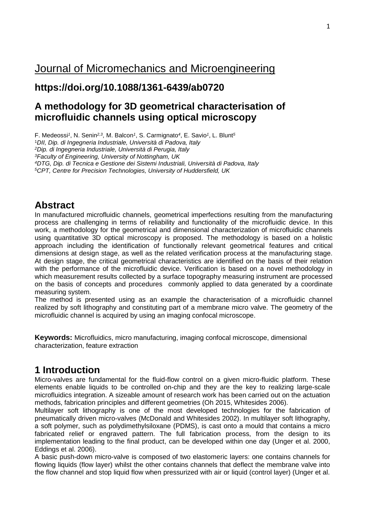# Journal of Micromechanics and [Microengineering](https://iopscience.iop.org/journal/0960-1317)

## **https://doi.org/10.1088/1361-6439/ab0720**

## **A methodology for 3D geometrical characterisation of microfluidic channels using optical microscopy**

F. Medeossi*<sup>1</sup>* , N. Senin*2,3* , M. Balcon*<sup>1</sup>* , S. Carmignato*<sup>4</sup>* , E. Savio*<sup>1</sup>* , L. Blunt*<sup>5</sup>*

<sup>1</sup>*DII, Dip. di Ingegneria Industriale, Università di Padova, Italy*

*<sup>2</sup>Dip. di Ingegneria Industriale, Università di Perugia, Italy*

*<sup>3</sup>Faculty of Engineering, University of Nottingham, UK*

*<sup>4</sup>DTG, Dip. di Tecnica e Gestione dei Sistemi Industriali, Università di Padova, Italy*

*<sup>5</sup>CPT, Centre for Precision Technologies, University of Huddersfield, UK*

### **Abstract**

In manufactured microfluidic channels, geometrical imperfections resulting from the manufacturing process are challenging in terms of reliability and functionality of the microfluidic device. In this work, a methodology for the geometrical and dimensional characterization of microfluidic channels using quantitative 3D optical microscopy is proposed. The methodology is based on a holistic approach including the identification of functionally relevant geometrical features and critical dimensions at design stage, as well as the related verification process at the manufacturing stage. At design stage, the critical geometrical characteristics are identified on the basis of their relation with the performance of the microfluidic device. Verification is based on a novel methodology in which measurement results collected by a surface topography measuring instrument are processed on the basis of concepts and procedures commonly applied to data generated by a coordinate measuring system.

The method is presented using as an example the characterisation of a microfluidic channel realized by soft lithography and constituting part of a membrane micro valve. The geometry of the microfluidic channel is acquired by using an imaging confocal microscope.

**Keywords:** Microfluidics, micro manufacturing, imaging confocal microscope, dimensional characterization, feature extraction

## **1 Introduction**

Micro-valves are fundamental for the fluid-flow control on a given micro-fluidic platform. These elements enable liquids to be controlled on-chip and they are the key to realizing large-scale microfluidics integration. A sizeable amount of research work has been carried out on the actuation methods, fabrication principles and different geometries (Oh 2015, Whitesides 2006).

Multilayer soft lithography is one of the most developed technologies for the fabrication of pneumatically driven micro-valves (McDonald and Whitesides 2002). In multilayer soft lithography, a soft polymer, such as polydimethylsiloxane (PDMS), is cast onto a mould that contains a micro fabricated relief or engraved pattern. The full fabrication process, from the design to its implementation leading to the final product, can be developed within one day (Unger et al. 2000, Eddings et al. 2006).

A basic push-down micro-valve is composed of two elastomeric layers: one contains channels for flowing liquids (flow layer) whilst the other contains channels that deflect the membrane valve into the flow channel and stop liquid flow when pressurized with air or liquid (control layer) (Unger et al.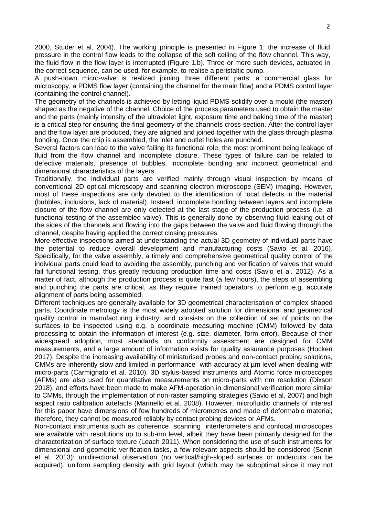2000, Studer et al. 2004). The working principle is presented in Figure 1: the increase of fluid pressure in the control flow leads to the collapse of the soft ceiling of the flow channel. This way, the fluid flow in the flow layer is interrupted (Figure 1.b). Three or more such devices, actuated in the correct sequence, can be used, for example, to realise a peristaltic pump.

A push-down micro-valve is realized joining three different parts: a commercial glass for microscopy, a PDMS flow layer (containing the channel for the main flow) and a PDMS control layer (containing the control channel).

The geometry of the channels is achieved by letting liquid PDMS solidify over a mould (the master) shaped as the negative of the channel. Choice of the process parameters used to obtain the master and the parts (mainly intensity of the ultraviolet light, exposure time and baking time of the master) is a critical step for ensuring the final geometry of the channels cross-section. After the control layer and the flow layer are produced, they are aligned and joined together with the glass through plasma bonding. Once the chip is assembled, the inlet and outlet holes are punched.

Several factors can lead to the valve failing its functional role, the most prominent being leakage of fluid from the flow channel and incomplete closure. These types of failure can be related to defective materials, presence of bubbles, incomplete bonding and incorrect geometrical and dimensional characteristics of the layers.

Traditionally, the individual parts are verified mainly through visual inspection by means of conventional 2D optical microscopy and scanning electron microscope (SEM) imaging. However, most of these inspections are only devoted to the identification of local defects in the material (bubbles, inclusions, lack of material). Instead, incomplete bonding between layers and incomplete closure of the flow channel are only detected at the last stage of the production process (i.e. at functional testing of the assembled valve). This is generally done by observing fluid leaking out of the sides of the channels and flowing into the gaps between the valve and fluid flowing through the channel, despite having applied the correct closing pressures.

More effective inspections aimed at understanding the actual 3D geometry of individual parts have the potential to reduce overall development and manufacturing costs (Savio et al. 2016). Specifically, for the valve assembly, a timely and comprehensive geometrical quality control of the individual parts could lead to avoiding the assembly, punching and verification of valves that would fail functional testing, thus greatly reducing production time and costs (Savio et al. 2012). As a matter of fact, although the production process is quite fast (a few hours), the steps of assembling and punching the parts are critical, as they require trained operators to perform e.g. accurate alignment of parts being assembled.

Different techniques are generally available for 3D geometrical characterisation of complex shaped parts. Coordinate metrology is the most widely adopted solution for dimensional and geometrical quality control in manufacturing industry, and consists on the collection of set of points on the surfaces to be inspected using e.g. a coordinate measuring machine (CMM) followed by data processing to obtain the information of interest (e.g. size, diameter, form error). Because of their widespread adoption, most standards on conformity assessment are designed for CMM measurements, and a large amount of information exists for quality assurance purposes (Hocken 2017). Despite the increasing availability of miniaturised probes and non-contact probing solutions, CMMs are inherently slow and limited in performance with accuracy at um level when dealing with micro-parts (Carmignato et al. 2010). 3D stylus-based instruments and Atomic force microscopes (AFMs) are also used for quantitative measurements on micro-parts with nm resolution (Dixson 2018), and efforts have been made to make AFM-operation in dimensional verification more similar to CMMs, through the implementation of non-raster sampling strategies (Savio et al. 2007) and high aspect ratio calibration artefacts (Marinello et al. 2008). However, microfluidic channels of interest for this paper have dimensions of few hundreds of micrometres and made of deformable material; therefore, they cannot be measured reliably by contact probing devices or AFMs.

Non-contact instruments such as coherence scanning interferometers and confocal microscopes are available with resolutions up to sub-nm level, albeit they have been primarily designed for the characterization of surface texture (Leach 2011). When considering the use of such instruments for dimensional and geometric verification tasks, a few relevant aspects should be considered (Senin et al. 2013): unidirectional observation (no vertical/high-sloped surfaces or undercuts can be acquired), uniform sampling density with grid layout (which may be suboptimal since it may not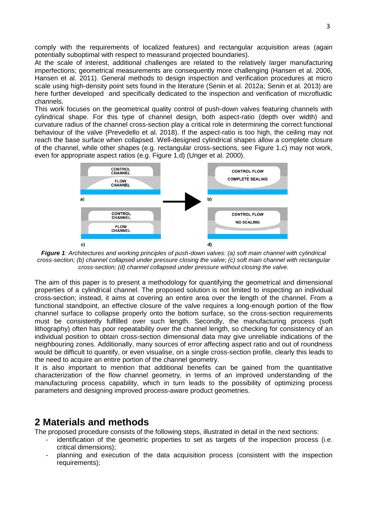comply with the requirements of localized features) and rectangular acquisition areas (again potentially suboptimal with respect to measurand projected boundaries).

At the scale of interest, additional challenges are related to the relatively larger manufacturing imperfections; geometrical measurements are consequently more challenging (Hansen et al. 2006, Hansen et al. 2011). General methods to design inspection and verification procedures at micro scale using high-density point sets found in the literature (Senin et al. 2012a; Senin et al. 2013) are here further developed and specifically dedicated to the inspection and verification of microfluidic channels.

This work focuses on the geometrical quality control of push-down valves featuring channels with cylindrical shape. For this type of channel design, both aspect-ratio (depth over width) and curvature radius of the channel cross-section play a critical role in determining the correct functional behaviour of the valve (Prevedello et al. 2018). If the aspect-ratio is too high, the ceiling may not reach the base surface when collapsed. Well-designed cylindrical shapes allow a complete closure of the channel, while other shapes (e.g. rectangular cross-sections, see Figure 1.c) may not work, even for appropriate aspect ratios (e.g. Figure 1.d) (Unger et al. 2000).



*Figure 1: Architectures and working principles of push-down valves: (a) soft main channel with cylindrical cross-section; (b) channel collapsed under pressure closing the valve; (c) soft main channel with rectangular cross-section; (d) channel collapsed under pressure without closing the valve.*

The aim of this paper is to present a methodology for quantifying the geometrical and dimensional properties of a cylindrical channel. The proposed solution is not limited to inspecting an individual cross-section; instead, it aims at covering an entire area over the length of the channel. From a functional standpoint, an effective closure of the valve requires a long-enough portion of the flow channel surface to collapse properly onto the bottom surface, so the cross-section requirements must be consistently fulfilled over such length. Secondly, the manufacturing process (soft lithography) often has poor repeatability over the channel length, so checking for consistency of an individual position to obtain cross-section dimensional data may give unreliable indications of the neighbouring zones. Additionally, many sources of error affecting aspect ratio and out of roundness would be difficult to quantify, or even visualise, on a single cross-section profile, clearly this leads to the need to acquire an entire portion of the channel geometry.

It is also important to mention that additional benefits can be gained from the quantitative characterization of the flow channel geometry, in terms of an improved understanding of the manufacturing process capability, which in turn leads to the possibility of optimizing process parameters and designing improved process-aware product geometries.

### **2 Materials and methods**

The proposed procedure consists of the following steps, illustrated in detail in the next sections:

- identification of the geometric properties to set as targets of the inspection process (i.e. critical dimensions);
- planning and execution of the data acquisition process (consistent with the inspection requirements);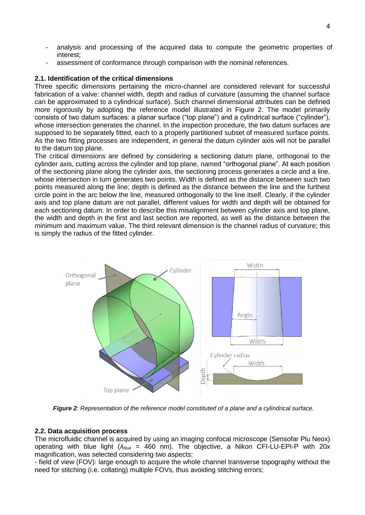- analysis and processing of the acquired data to compute the geometric properties of interest;
- assessment of conformance through comparison with the nominal references.

### **2.1. Identification of the critical dimensions**

Three specific dimensions pertaining the micro-channel are considered relevant for successful fabrication of a valve: channel width, depth and radius of curvature (assuming the channel surface can be approximated to a cylindrical surface). Such channel dimensional attributes can be defined more rigorously by adopting the reference model illustrated in Figure 2. The model primarily consists of two datum surfaces: a planar surface ("top plane") and a cylindrical surface ("cylinder"), whose intersection generates the channel. In the inspection procedure, the two datum surfaces are supposed to be separately fitted, each to a properly partitioned subset of measured surface points. As the two fitting processes are independent, in general the datum cylinder axis will not be parallel to the datum top plane.

The critical dimensions are defined by considering a sectioning datum plane, orthogonal to the cylinder axis, cutting across the cylinder and top plane, named "orthogonal plane". At each position of the sectioning plane along the cylinder axis, the sectioning process generates a circle and a line, whose intersection in turn generates two points. Width is defined as the distance between such two points measured along the line; depth is defined as the distance between the line and the furthest circle point in the arc below the line, measured orthogonally to the line itself. Clearly, if the cylinder axis and top plane datum are not parallel, different values for width and depth will be obtained for each sectioning datum. In order to describe this misalignment between cylinder axis and top plane, the width and depth in the first and last section are reported, as well as the distance between the minimum and maximum value. The third relevant dimension is the channel radius of curvature; this is simply the radius of the fitted cylinder.



*Figure 2: Representation of the reference model constituted of a plane and a cylindrical surface.*

### **2.2. Data acquisition process**

The microfluidic channel is acquired by using an imaging confocal microscope (Sensofar Plu Neox) operating with blue light (*λblue* = 460 nm). The objective, a Nikon CFI-LU-EPI-P with 20x magnification, was selected considering two aspects:

- field of view (FOV): large enough to acquire the whole channel transverse topography without the need for stitching (i.e. collating) multiple FOVs, thus avoiding stitching errors;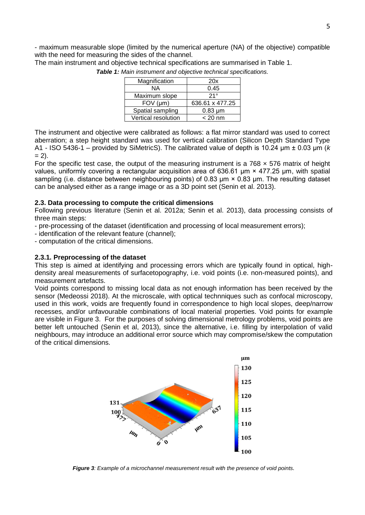- maximum measurable slope (limited by the numerical aperture (NA) of the objective) compatible with the need for measuring the sides of the channel. The main instrument and objective technical specifications are summarised in Table 1.

| Magnification       | 20x             |
|---------------------|-----------------|
| ΝA                  | 0.45            |
| Maximum slope       | 21°             |
| $FOV$ ( $µm$ )      | 636.61 x 477.25 |
| Spatial sampling    | $0.83 \mu m$    |
| Vertical resolution | $< 20$ nm       |

*Table 1: Main instrument and objective technical specifications.*

The instrument and objective were calibrated as follows: a flat mirror standard was used to correct aberration; a step height standard was used for vertical calibration (Silicon Depth Standard Type A1 - ISO 5436-1 – provided by SiMetricS). The calibrated value of depth is 10.24 μm ± 0.03 μm (*k*  $= 2$ ).

For the specific test case, the output of the measuring instrument is a  $768 \times 576$  matrix of height values, uniformly covering a rectangular acquisition area of 636.61 μm × 477.25 μm, with spatial sampling (i.e. distance between neighbouring points) of 0.83 μm × 0.83 μm. The resulting dataset can be analysed either as a range image or as a 3D point set (Senin et al. 2013).

#### **2.3. Data processing to compute the critical dimensions**

Following previous literature (Senin et al. 2012a; Senin et al. 2013), data processing consists of three main steps:

- pre-processing of the dataset (identification and processing of local measurement errors);
- identification of the relevant feature (channel);
- computation of the critical dimensions.

#### **2.3.1. Preprocessing of the dataset**

This step is aimed at identifying and processing errors which are typically found in optical, highdensity areal measurements of surfacetopography, i.e. void points (i.e. non-measured points), and measurement artefacts.

Void points correspond to missing local data as not enough information has been received by the sensor (Medeossi 2018). At the microscale, with optical technniques such as confocal microscopy, used in this work, voids are frequently found in correspondence to high local slopes, deep/narrow recesses, and/or unfavourable combinations of local material properties. Void points for example are visible in Figure 3. For the purposes of solving dimensional metrology problems, void points are better left untouched (Senin et al, 2013), since the alternative, i.e. filling by interpolation of valid neighbours, may introduce an additional error source which may compromise/skew the computation of the critical dimensions.



*Figure 3: Example of a microchannel measurement result with the presence of void points.*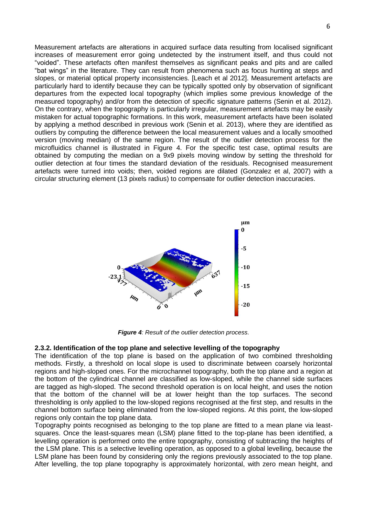Measurement artefacts are alterations in acquired surface data resulting from localised significant increases of measurement error going undetected by the instrument itself, and thus could not "voided". These artefacts often manifest themselves as significant peaks and pits and are called "bat wings" in the literature. They can result from phenomena such as focus hunting at steps and slopes, or material optical property inconsistencies. [Leach et al 2012]. Measurement artefacts are particularly hard to identify because they can be typically spotted only by observation of significant departures from the expected local topography (which implies some previous knowledge of the measured topography) and/or from the detection of specific signature patterns (Senin et al. 2012). On the contrary, when the topography is particularly irregular, measurement artefacts may be easily mistaken for actual topographic formations. In this work, measurement artefacts have been isolated by applying a method described in previous work (Senin et al. 2013), where they are identified as outliers by computing the difference between the local measurement values and a locally smoothed version (moving median) of the same region. The result of the outlier detection process for the microfluidics channel is illustrated in Figure 4. For the specific test case, optimal results are obtained by computing the median on a 9x9 pixels moving window by setting the threshold for outlier detection at four times the standard deviation of the residuals. Recognised measurement artefacts were turned into voids; then, voided regions are dilated (Gonzalez et al, 2007) with a circular structuring element (13 pixels radius) to compensate for outlier detection inaccuracies.



*Figure 4: Result of the outlier detection process.*

### **2.3.2. Identification of the top plane and selective levelling of the topography**

The identification of the top plane is based on the application of two combined thresholding methods. Firstly, a threshold on local slope is used to discriminate between coarsely horizontal regions and high-sloped ones. For the microchannel topography, both the top plane and a region at the bottom of the cylindrical channel are classified as low-sloped, while the channel side surfaces are tagged as high-sloped. The second threshold operation is on local height, and uses the notion that the bottom of the channel will be at lower height than the top surfaces. The second thresholding is only applied to the low-sloped regions recognised at the first step, and results in the channel bottom surface being eliminated from the low-sloped regions. At this point, the low-sloped regions only contain the top plane data.

Topography points recognised as belonging to the top plane are fitted to a mean plane via leastsquares. Once the least-squares mean (LSM) plane fitted to the top-plane has been identified, a levelling operation is performed onto the entire topography, consisting of subtracting the heights of the LSM plane. This is a selective levelling operation, as opposed to a global levelling, because the LSM plane has been found by considering only the regions previously associated to the top plane. After levelling, the top plane topography is approximately horizontal, with zero mean height, and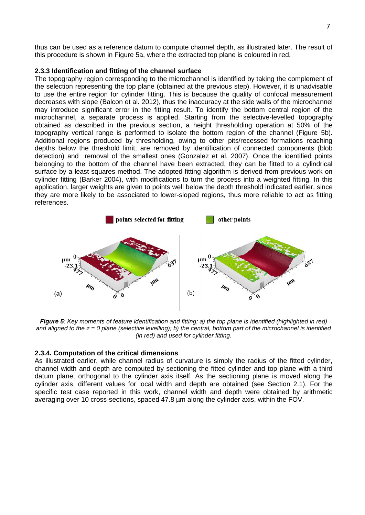thus can be used as a reference datum to compute channel depth, as illustrated later. The result of this procedure is shown in Figure 5a, where the extracted top plane is coloured in red.

### **2.3.3 Identification and fitting of the channel surface**

The topography region corresponding to the microchannel is identified by taking the complement of the selection representing the top plane (obtained at the previous step). However, it is unadvisable to use the entire region for cylinder fitting. This is because the quality of confocal measurement decreases with slope (Balcon et al. 2012), thus the inaccuracy at the side walls of the microchannel may introduce significant error in the fitting result. To identify the bottom central region of the microchannel, a separate process is applied. Starting from the selective-levelled topography obtained as described in the previous section, a height thresholding operation at 50% of the topography vertical range is performed to isolate the bottom region of the channel (Figure 5b). Additional regions produced by thresholding, owing to other pits/recessed formations reaching depths below the threshold limit, are removed by identification of connected components (blob detection) and removal of the smallest ones (Gonzalez et al. 2007). Once the identified points belonging to the bottom of the channel have been extracted, they can be fitted to a cylindrical surface by a least-squares method. The adopted fitting algorithm is derived from previous work on cylinder fitting (Barker 2004), with modifications to turn the process into a weighted fitting. In this application, larger weights are given to points well below the depth threshold indicated earlier, since they are more likely to be associated to lower-sloped regions, thus more reliable to act as fitting references.



*Figure 5: Key moments of feature identification and fitting; a) the top plane is identified (highlighted in red) and aligned to the z = 0 plane (selective levelling); b) the central, bottom part of the microchannel is identified (in red) and used for cylinder fitting.* 

### **2.3.4. Computation of the critical dimensions**

As illustrated earlier, while channel radius of curvature is simply the radius of the fitted cylinder, channel width and depth are computed by sectioning the fitted cylinder and top plane with a third datum plane, orthogonal to the cylinder axis itself. As the sectioning plane is moved along the cylinder axis, different values for local width and depth are obtained (see Section 2.1). For the specific test case reported in this work, channel width and depth were obtained by arithmetic averaging over 10 cross-sections, spaced 47.8 µm along the cylinder axis, within the FOV.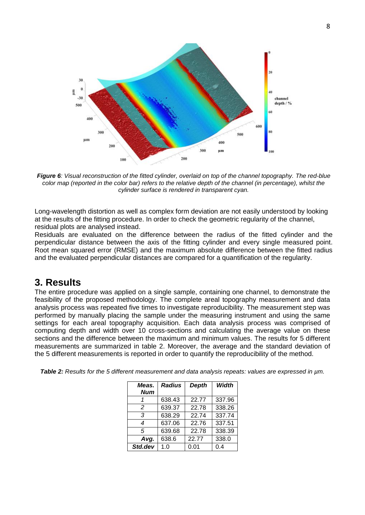

*Figure 6: Visual reconstruction of the fitted cylinder, overlaid on top of the channel topography. The red-blue color map (reported in the color bar) refers to the relative depth of the channel (in percentage), whilst the cylinder surface is rendered in transparent cyan.*

Long-wavelength distortion as well as complex form deviation are not easily understood by looking at the results of the fitting procedure. In order to check the geometric regularity of the channel, residual plots are analysed instead.

Residuals are evaluated on the difference between the radius of the fitted cylinder and the perpendicular distance between the axis of the fitting cylinder and every single measured point. Root mean squared error (RMSE) and the maximum absolute difference between the fitted radius and the evaluated perpendicular distances are compared for a quantification of the regularity.

## **3. Results**

The entire procedure was applied on a single sample, containing one channel, to demonstrate the feasibility of the proposed methodology. The complete areal topography measurement and data analysis process was repeated five times to investigate reproducibility. The measurement step was performed by manually placing the sample under the measuring instrument and using the same settings for each areal topography acquisition. Each data analysis process was comprised of computing depth and width over 10 cross-sections and calculating the average value on these sections and the difference between the maximum and minimum values. The results for 5 different measurements are summarized in table 2. Moreover, the average and the standard deviation of the 5 different measurements is reported in order to quantify the reproducibility of the method.

| Meas.      | <b>Radius</b> | <b>Depth</b> | Width  |
|------------|---------------|--------------|--------|
| <b>Num</b> |               |              |        |
|            | 638.43        | 22.77        | 337.96 |
| 2          | 639.37        | 22.78        | 338.26 |
| 3          | 638.29        | 22.74        | 337.74 |
| 4          | 637.06        | 22.76        | 337.51 |
| 5          | 639.68        | 22.78        | 338.39 |
| Avg.       | 638.6         | 22.77        | 338.0  |
| Std.dev    | 1.0           | 0.01         | 0.4    |

*Table 2: Results for the 5 different measurement and data analysis repeats: values are expressed in µm.*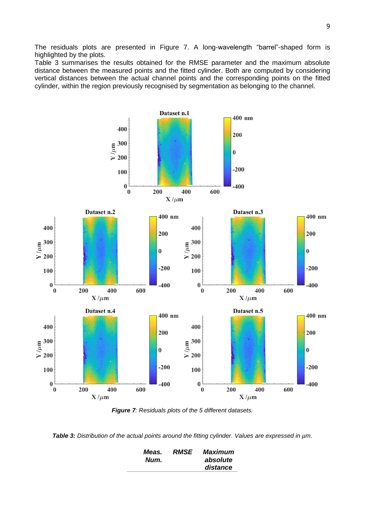The residuals plots are presented in Figure 7. A long-wavelength "barrel"-shaped form is highlighted by the plots.

Table 3 summarises the results obtained for the RMSE parameter and the maximum absolute distance between the measured points and the fitted cylinder. Both are computed by considering vertical distances between the actual channel points and the corresponding points on the fitted cylinder, within the region previously recognised by segmentation as belonging to the channel.



*Figure 7: Residuals plots of the 5 different datasets.*

*Table 3: Distribution of the actual points around the fitting cylinder. Values are expressed in µm.*

| Meas. | <b>RMSE</b> | Maximum  |
|-------|-------------|----------|
| Num.  |             | absolute |
|       |             | distance |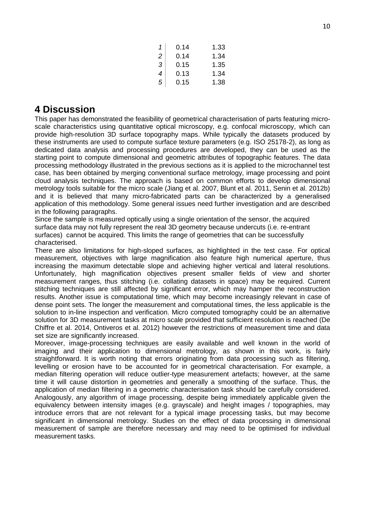| 1                        | 0.14 | 1.33 |
|--------------------------|------|------|
| $\overline{a}$           | 0.14 | 1.34 |
| 3                        | 0.15 | 1.35 |
| $\overline{\mathcal{A}}$ | 0.13 | 1.34 |
| 5                        | 0.15 | 1.38 |

## **4 Discussion**

This paper has demonstrated the feasibility of geometrical characterisation of parts featuring microscale characteristics using quantitative optical microscopy, e.g. confocal microscopy, which can provide high-resolution 3D surface topography maps. While typically the datasets produced by these instruments are used to compute surface texture parameters (e.g. ISO 25178-2), as long as dedicated data analysis and processing procedures are developed, they can be used as the starting point to compute dimensional and geometric attributes of topographic features. The data processing methodology illustrated in the previous sections as it is applied to the microchannel test case, has been obtained by merging conventional surface metrology, image processing and point cloud analysis techniques. The approach is based on common efforts to develop dimensional metrology tools suitable for the micro scale (Jiang et al. 2007, Blunt et al. 2011, Senin et al. 2012b) and it is believed that many micro-fabricated parts can be characterized by a generalised application of this methodology. Some general issues need further investigation and are described in the following paragraphs.

Since the sample is measured optically using a single orientation of the sensor, the acquired surface data may not fully represent the real 3D geometry because undercuts (i.e. re-entrant surfaces) cannot be acquired. This limits the range of geometries that can be successfully characterised.

There are also limitations for high-sloped surfaces, as highlighted in the test case. For optical measurement, objectives with large magnification also feature high numerical aperture, thus increasing the maximum detectable slope and achieving higher vertical and lateral resolutions. Unfortunately, high magnification objectives present smaller fields of view and shorter measurement ranges, thus stitching (i.e. collating datasets in space) may be required. Current stitching techniques are still affected by significant error, which may hamper the reconstruction results. Another issue is computational time, which may become increasingly relevant in case of dense point sets. The longer the measurement and computational times, the less applicable is the solution to in-line inspection and verification. Micro computed tomography could be an alternative solution for 3D measurement tasks at micro scale provided that sufficient resolution is reached (De Chiffre et al. 2014, Ontiveros et al. 2012) however the restrictions of measurement time and data set size are significantly increased.

Moreover, image-processing techniques are easily available and well known in the world of imaging and their application to dimensional metrology, as shown in this work, is fairly straightforward. It is worth noting that errors originating from data processing such as filtering, levelling or erosion have to be accounted for in geometrical characterisation. For example, a median filtering operation will reduce outlier-type measurement artefacts; however, at the same time it will cause distortion in geometries and generally a smoothing of the surface. Thus, the application of median filtering in a geometric characterisation task should be carefully considered. Analogously, any algorithm of image processing, despite being immediately applicable given the equivalency between intensity images (e.g. grayscale) and height images / topographies, may introduce errors that are not relevant for a typical image processing tasks, but may become significant in dimensional metrology. Studies on the effect of data processing in dimensional measurement of sample are therefore necessary and may need to be optimised for individual measurement tasks.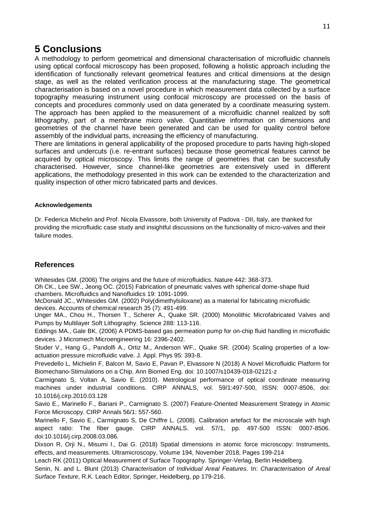## **5 Conclusions**

A methodology to perform geometrical and dimensional characterisation of microfluidic channels using optical confocal microscopy has been proposed, following a holistic approach including the identification of functionally relevant geometrical features and critical dimensions at the design stage, as well as the related verification process at the manufacturing stage. The geometrical characterisation is based on a novel procedure in which measurement data collected by a surface topography measuring instrument using confocal microscopy are processed on the basis of concepts and procedures commonly used on data generated by a coordinate measuring system. The approach has been applied to the measurement of a microfluidic channel realized by soft lithography, part of a membrane micro valve. Quantitative information on dimensions and geometries of the channel have been generated and can be used for quality control before assembly of the individual parts, increasing the efficiency of manufacturing.

There are limitations in general applicability of the proposed procedure to parts having high-sloped surfaces and undercuts (i.e. re-entrant surfaces) because those geometrical features cannot be acquired by optical microscopy. This limits the range of geometries that can be successfully characterised. However, since channel-like geometries are extensively used in different applications, the methodology presented in this work can be extended to the characterization and quality inspection of other micro fabricated parts and devices.

### **Acknowledgements**

Dr. Federica Michelin and Prof. Nicola Elvassore, both University of Padova - DII, Italy, are thanked for providing the microfluidic case study and insightful discussions on the functionality of micro-valves and their failure modes.

### **References**

Whitesides GM. (2006) The origins and the future of microfluidics. Nature 442: 368-373.

Oh CK., Lee SW., Jeong OC. (2015) Fabrication of pneumatic valves with spherical dome-shape fluid chambers. Microfluidics and Nanofluidics 19: 1091-1099.

McDonald JC., Whitesides GM. (2002) Poly(dimethylsiloxane) as a material for fabricating microfluidic devices. Accounts of chemical research 35 (7): 491-499.

Unger MA., Chou H., Thorsen T., Scherer A., Quake SR. (2000) Monolithic Microfabricated Valves and Pumps by Multilayer Soft Lithography. Science 288: 113-116.

Eddings MA., Gale BK. (2006) A PDMS-based gas permeation pump for on-chip fluid handling in microfluidic devices. J Micromech Microengineering 16: 2396-2402.

Studer V., Hang G., Pandolfi A., Ortiz M., Anderson WF., Quake SR. (2004) Scaling properties of a lowactuation pressure microfluidic valve. J. Appl. Phys 95: 393-8.

Prevedello L, Michielin F, Balcon M, Savio E, Pavan P, Elvassore N (2018) A Novel Microfluidic Platform for Biomechano-Stimulations on a Chip. Ann Biomed Eng. doi: 10.1007/s10439-018-02121-z

Carmignato S, Voltan A, Savio E. (2010). Metrological performance of optical coordinate measuring machines under industrial conditions. CIRP ANNALS, vol. 59/1:497-500, ISSN: 0007-8506, doi: 10.1016/j.cirp.2010.03.128

Savio E., Marinello F., Bariani P., Carmignato S. (2007) Feature-Oriented Measurement Strategy in Atomic Force Microscopy. CIRP Annals 56/1: 557-560.

Marinello F, Savio E., Carmignato S, De Chiffre L. (2008). Calibration artefact for the microscale with high aspect ratio: The fiber gauge. CIRP ANNALS. vol. 57/1, pp. 497-500 ISSN: 0007-8506. doi:10.1016/j.cirp.2008.03.086.

Dixson R, Orji N., Misumi I., Dai G. (2018) Spatial dimensions in atomic force microscopy: Instruments, effects, and measurements. Ultramicroscopy, Volume 194, November 2018, Pages 199-214

Leach RK (2011) Optical Measurement of Surface Topography. Springer-Verlag, Berlin Heidelberg.

Senin, N. and L. Blunt (2013) *Characterisation of Individual Areal Features.* In: *Characterisation of Areal Surface Texture*, R.K. Leach Editor, Springer, Heidelberg, pp 179-216.